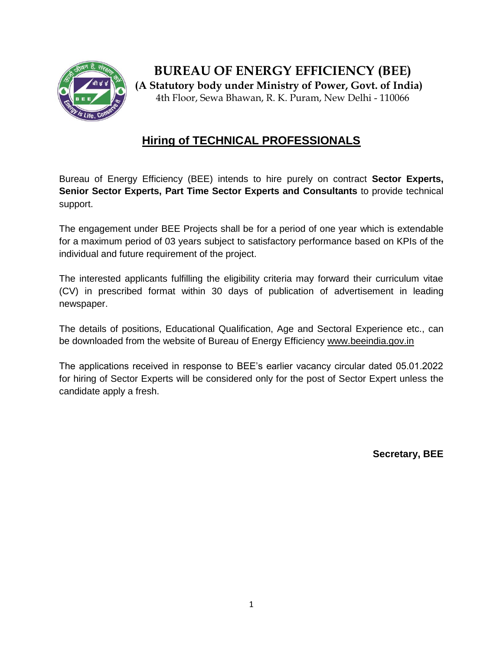

**BUREAU OF ENERGY EFFICIENCY (BEE) (A Statutory body under Ministry of Power, Govt. of India)** 4th Floor, Sewa Bhawan, R. K. Puram, New Delhi - 110066

# **Hiring of TECHNICAL PROFESSIONALS**

Bureau of Energy Efficiency (BEE) intends to hire purely on contract **Sector Experts, Senior Sector Experts, Part Time Sector Experts and Consultants** to provide technical support.

The engagement under BEE Projects shall be for a period of one year which is extendable for a maximum period of 03 years subject to satisfactory performance based on KPIs of the individual and future requirement of the project.

The interested applicants fulfilling the eligibility criteria may forward their curriculum vitae (CV) in prescribed format within 30 days of publication of advertisement in leading newspaper.

The details of positions, Educational Qualification, Age and Sectoral Experience etc., can be downloaded from the website of Bureau of Energy Efficiency [www.beeindia.gov.in](http://www.beeindia.gov.in/)

The applications received in response to BEE's earlier vacancy circular dated 05.01.2022 for hiring of Sector Experts will be considered only for the post of Sector Expert unless the candidate apply a fresh.

**Secretary, BEE**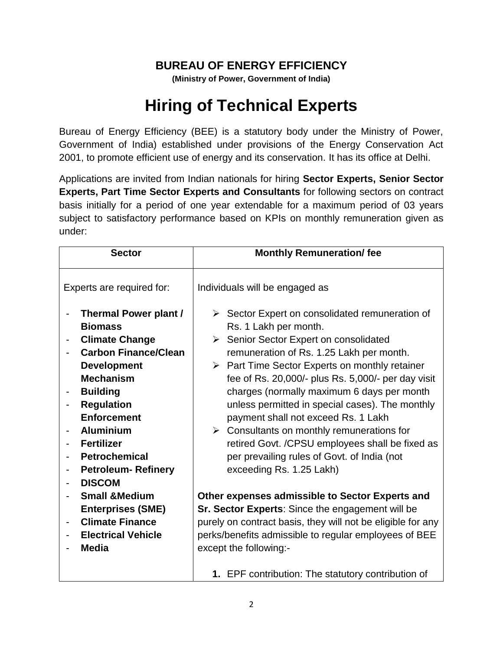## **BUREAU OF ENERGY EFFICIENCY**

**(Ministry of Power, Government of India)**

# **Hiring of Technical Experts**

Bureau of Energy Efficiency (BEE) is a statutory body under the Ministry of Power, Government of India) established under provisions of the Energy Conservation Act 2001, to promote efficient use of energy and its conservation. It has its office at Delhi.

Applications are invited from Indian nationals for hiring **Sector Experts, Senior Sector Experts, Part Time Sector Experts and Consultants** for following sectors on contract basis initially for a period of one year extendable for a maximum period of 03 years subject to satisfactory performance based on KPIs on monthly remuneration given as under:

|                           | <b>Sector</b>                                                                                                                                                                                                                                                                                                                                                                                                    | <b>Monthly Remuneration/fee</b>                                                                                                                                                                                                                                                                                                                                                                                                                                                                                                                                                                                                                                                                                                                                                                                                        |
|---------------------------|------------------------------------------------------------------------------------------------------------------------------------------------------------------------------------------------------------------------------------------------------------------------------------------------------------------------------------------------------------------------------------------------------------------|----------------------------------------------------------------------------------------------------------------------------------------------------------------------------------------------------------------------------------------------------------------------------------------------------------------------------------------------------------------------------------------------------------------------------------------------------------------------------------------------------------------------------------------------------------------------------------------------------------------------------------------------------------------------------------------------------------------------------------------------------------------------------------------------------------------------------------------|
| Experts are required for: |                                                                                                                                                                                                                                                                                                                                                                                                                  | Individuals will be engaged as                                                                                                                                                                                                                                                                                                                                                                                                                                                                                                                                                                                                                                                                                                                                                                                                         |
|                           | <b>Thermal Power plant /</b><br><b>Biomass</b><br><b>Climate Change</b><br><b>Carbon Finance/Clean</b><br><b>Development</b><br><b>Mechanism</b><br><b>Building</b><br><b>Regulation</b><br><b>Enforcement</b><br><b>Aluminium</b><br><b>Fertilizer</b><br><b>Petrochemical</b><br><b>Petroleum-Refinery</b><br><b>DISCOM</b><br><b>Small &amp; Medium</b><br><b>Enterprises (SME)</b><br><b>Climate Finance</b> | $\triangleright$ Sector Expert on consolidated remuneration of<br>Rs. 1 Lakh per month.<br>Senior Sector Expert on consolidated<br>$\triangleright$<br>remuneration of Rs. 1.25 Lakh per month.<br>$\triangleright$ Part Time Sector Experts on monthly retainer<br>fee of Rs. 20,000/- plus Rs. 5,000/- per day visit<br>charges (normally maximum 6 days per month<br>unless permitted in special cases). The monthly<br>payment shall not exceed Rs. 1 Lakh<br>$\triangleright$ Consultants on monthly remunerations for<br>retired Govt. /CPSU employees shall be fixed as<br>per prevailing rules of Govt. of India (not<br>exceeding Rs. 1.25 Lakh)<br>Other expenses admissible to Sector Experts and<br><b>Sr. Sector Experts:</b> Since the engagement will be<br>purely on contract basis, they will not be eligible for any |
|                           | <b>Electrical Vehicle</b><br><b>Media</b>                                                                                                                                                                                                                                                                                                                                                                        | perks/benefits admissible to regular employees of BEE<br>except the following:-<br>1. EPF contribution: The statutory contribution of                                                                                                                                                                                                                                                                                                                                                                                                                                                                                                                                                                                                                                                                                                  |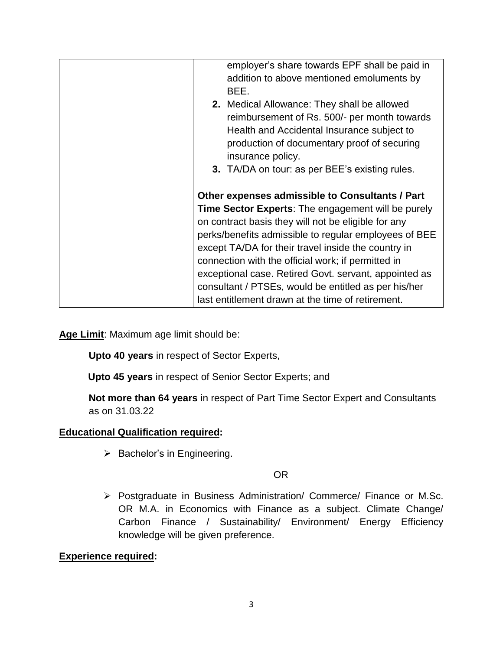| employer's share towards EPF shall be paid in                                                             |
|-----------------------------------------------------------------------------------------------------------|
| addition to above mentioned emoluments by                                                                 |
| BEE.                                                                                                      |
| <b>2.</b> Medical Allowance: They shall be allowed                                                        |
| reimbursement of Rs. 500/- per month towards                                                              |
| Health and Accidental Insurance subject to                                                                |
| production of documentary proof of securing                                                               |
| insurance policy.                                                                                         |
| 3. TA/DA on tour: as per BEE's existing rules.                                                            |
|                                                                                                           |
| Other expenses admissible to Consultants / Part                                                           |
| <b>Time Sector Experts:</b> The engagement will be purely                                                 |
|                                                                                                           |
|                                                                                                           |
| on contract basis they will not be eligible for any                                                       |
| perks/benefits admissible to regular employees of BEE                                                     |
| except TA/DA for their travel inside the country in                                                       |
| connection with the official work; if permitted in                                                        |
| exceptional case. Retired Govt. servant, appointed as                                                     |
| consultant / PTSEs, would be entitled as per his/her<br>last entitlement drawn at the time of retirement. |

**Age Limit**: Maximum age limit should be:

**Upto 40 years** in respect of Sector Experts,

**Upto 45 years** in respect of Senior Sector Experts; and

**Not more than 64 years** in respect of Part Time Sector Expert and Consultants as on 31.03.22

## **Educational Qualification required:**

 $\triangleright$  Bachelor's in Engineering.

#### OR

 Postgraduate in Business Administration/ Commerce/ Finance or M.Sc. OR M.A. in Economics with Finance as a subject. Climate Change/ Carbon Finance / Sustainability/ Environment/ Energy Efficiency knowledge will be given preference.

#### **Experience required:**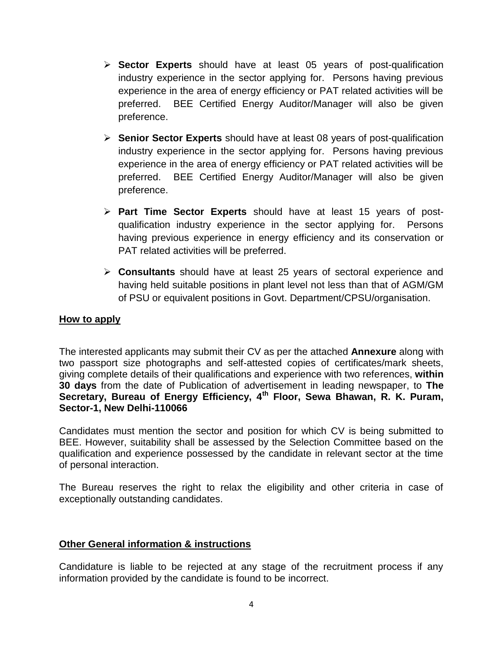- **Sector Experts** should have at least 05 years of post-qualification industry experience in the sector applying for. Persons having previous experience in the area of energy efficiency or PAT related activities will be preferred. BEE Certified Energy Auditor/Manager will also be given preference.
- **Senior Sector Experts** should have at least 08 years of post-qualification industry experience in the sector applying for. Persons having previous experience in the area of energy efficiency or PAT related activities will be preferred. BEE Certified Energy Auditor/Manager will also be given preference.
- **Part Time Sector Experts** should have at least 15 years of postqualification industry experience in the sector applying for. Persons having previous experience in energy efficiency and its conservation or PAT related activities will be preferred.
- **Consultants** should have at least 25 years of sectoral experience and having held suitable positions in plant level not less than that of AGM/GM of PSU or equivalent positions in Govt. Department/CPSU/organisation.

#### **How to apply**

The interested applicants may submit their CV as per the attached **Annexure** along with two passport size photographs and self-attested copies of certificates/mark sheets, giving complete details of their qualifications and experience with two references, **within 30 days** from the date of Publication of advertisement in leading newspaper, to **The Secretary, Bureau of Energy Efficiency, 4th Floor, Sewa Bhawan, R. K. Puram, Sector-1, New Delhi-110066**

Candidates must mention the sector and position for which CV is being submitted to BEE. However, suitability shall be assessed by the Selection Committee based on the qualification and experience possessed by the candidate in relevant sector at the time of personal interaction.

The Bureau reserves the right to relax the eligibility and other criteria in case of exceptionally outstanding candidates.

#### **Other General information & instructions**

Candidature is liable to be rejected at any stage of the recruitment process if any information provided by the candidate is found to be incorrect.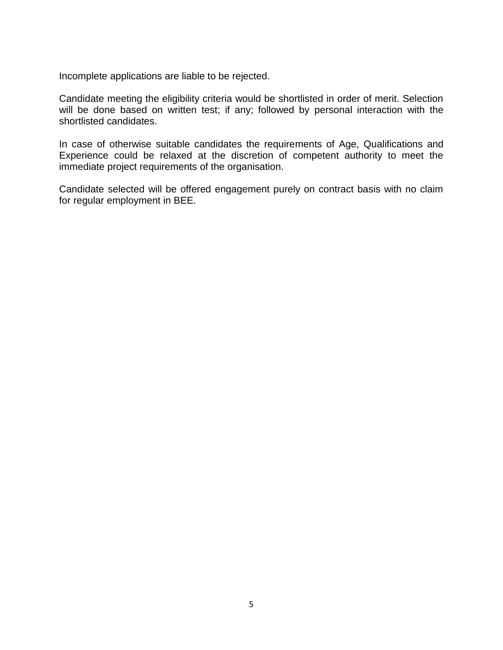Incomplete applications are liable to be rejected.

Candidate meeting the eligibility criteria would be shortlisted in order of merit. Selection will be done based on written test; if any; followed by personal interaction with the shortlisted candidates.

In case of otherwise suitable candidates the requirements of Age, Qualifications and Experience could be relaxed at the discretion of competent authority to meet the immediate project requirements of the organisation.

Candidate selected will be offered engagement purely on contract basis with no claim for regular employment in BEE.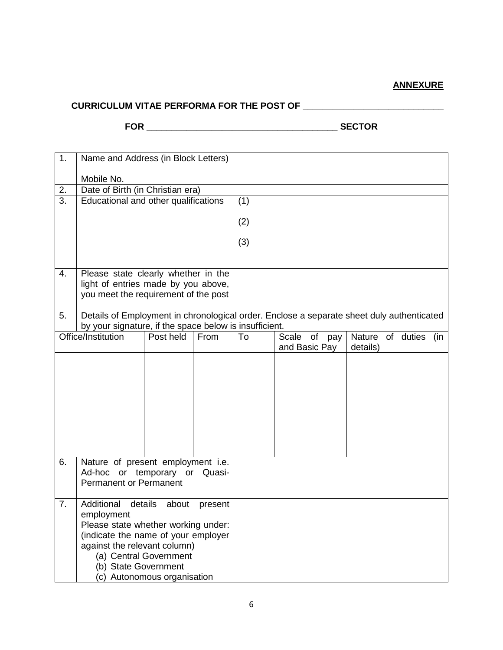## **ANNEXURE**

## **CURRICULUM VITAE PERFORMA FOR THE POST OF \_\_\_\_\_\_\_\_\_\_\_\_\_\_\_\_\_\_\_\_\_\_\_\_\_\_\_\_**

**FOR \_\_\_\_\_\_\_\_\_\_\_\_\_\_\_\_\_\_\_\_\_\_\_\_\_\_\_\_\_\_\_\_\_\_\_\_\_\_ SECTOR**

| 1.                                                                          | Name and Address (in Block Letters)                                                       |           |      |     |  |                               |          |  |  |  |
|-----------------------------------------------------------------------------|-------------------------------------------------------------------------------------------|-----------|------|-----|--|-------------------------------|----------|--|--|--|
|                                                                             | Mobile No.                                                                                |           |      |     |  |                               |          |  |  |  |
| 2.                                                                          | Date of Birth (in Christian era)                                                          |           |      |     |  |                               |          |  |  |  |
| $\overline{3}$ .                                                            | Educational and other qualifications                                                      |           |      | (1) |  |                               |          |  |  |  |
|                                                                             |                                                                                           |           |      | (2) |  |                               |          |  |  |  |
|                                                                             |                                                                                           |           |      | (3) |  |                               |          |  |  |  |
|                                                                             |                                                                                           |           |      |     |  |                               |          |  |  |  |
| Please state clearly whether in the<br>4.                                   |                                                                                           |           |      |     |  |                               |          |  |  |  |
| light of entries made by you above,<br>you meet the requirement of the post |                                                                                           |           |      |     |  |                               |          |  |  |  |
|                                                                             |                                                                                           |           |      |     |  |                               |          |  |  |  |
| 5.                                                                          | Details of Employment in chronological order. Enclose a separate sheet duly authenticated |           |      |     |  |                               |          |  |  |  |
|                                                                             | by your signature, if the space below is insufficient.<br>Nature of duties (in            |           |      |     |  |                               |          |  |  |  |
|                                                                             | Office/Institution                                                                        | Post held | From | To  |  | Scale of pay<br>and Basic Pay | details) |  |  |  |
|                                                                             |                                                                                           |           |      |     |  |                               |          |  |  |  |
|                                                                             |                                                                                           |           |      |     |  |                               |          |  |  |  |
|                                                                             |                                                                                           |           |      |     |  |                               |          |  |  |  |
|                                                                             |                                                                                           |           |      |     |  |                               |          |  |  |  |
|                                                                             |                                                                                           |           |      |     |  |                               |          |  |  |  |
|                                                                             |                                                                                           |           |      |     |  |                               |          |  |  |  |
|                                                                             |                                                                                           |           |      |     |  |                               |          |  |  |  |
| 6.                                                                          | Nature of present employment i.e.                                                         |           |      |     |  |                               |          |  |  |  |
|                                                                             | Ad-hoc or temporary or Quasi-                                                             |           |      |     |  |                               |          |  |  |  |
|                                                                             | <b>Permanent or Permanent</b>                                                             |           |      |     |  |                               |          |  |  |  |
| 7.                                                                          | Additional<br>details<br>about<br>present                                                 |           |      |     |  |                               |          |  |  |  |
|                                                                             | employment                                                                                |           |      |     |  |                               |          |  |  |  |
|                                                                             | Please state whether working under:<br>(indicate the name of your employer                |           |      |     |  |                               |          |  |  |  |
| against the relevant column)                                                |                                                                                           |           |      |     |  |                               |          |  |  |  |
| (a) Central Government                                                      |                                                                                           |           |      |     |  |                               |          |  |  |  |
| (b) State Government                                                        |                                                                                           |           |      |     |  |                               |          |  |  |  |
|                                                                             | (c) Autonomous organisation                                                               |           |      |     |  |                               |          |  |  |  |